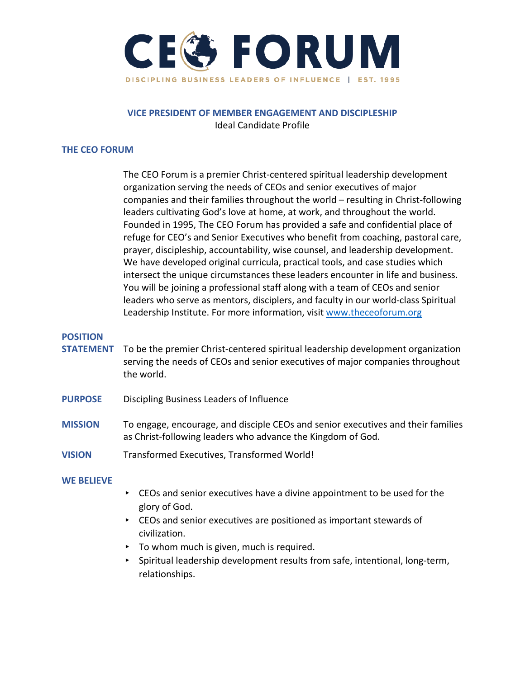

## **VICE PRESIDENT OF MEMBER ENGAGEMENT AND DISCIPLESHIP**  Ideal Candidate Profile

#### **THE CEO FORUM**

The CEO Forum is a premier Christ-centered spiritual leadership development organization serving the needs of CEOs and senior executives of major companies and their families throughout the world – resulting in Christ-following leaders cultivating God's love at home, at work, and throughout the world. Founded in 1995, The CEO Forum has provided a safe and confidential place of refuge for CEO's and Senior Executives who benefit from coaching, pastoral care, prayer, discipleship, accountability, wise counsel, and leadership development. We have developed original curricula, practical tools, and case studies which intersect the unique circumstances these leaders encounter in life and business. You will be joining a professional staff along with a team of CEOs and senior leaders who serve as mentors, disciplers, and faculty in our world-class Spiritual Leadership Institute. For more information, visit [www.theceoforum.org](http://www.theceoforum.org/)

#### **POSITION**

- **STATEMENT** To be the premier Christ-centered spiritual leadership development organization serving the needs of CEOs and senior executives of major companies throughout the world.
- **PURPOSE** Discipling Business Leaders of Influence
- **MISSION** To engage, encourage, and disciple CEOs and senior executives and their families as Christ-following leaders who advance the Kingdom of God.
- **VISION** Transformed Executives, Transformed World!

#### **WE BELIEVE**

- ▸ CEOs and senior executives have a divine appointment to be used for the glory of God.
- ▸ CEOs and senior executives are positioned as important stewards of civilization.
- $\triangleright$  To whom much is given, much is required.
- Spiritual leadership development results from safe, intentional, long-term, relationships.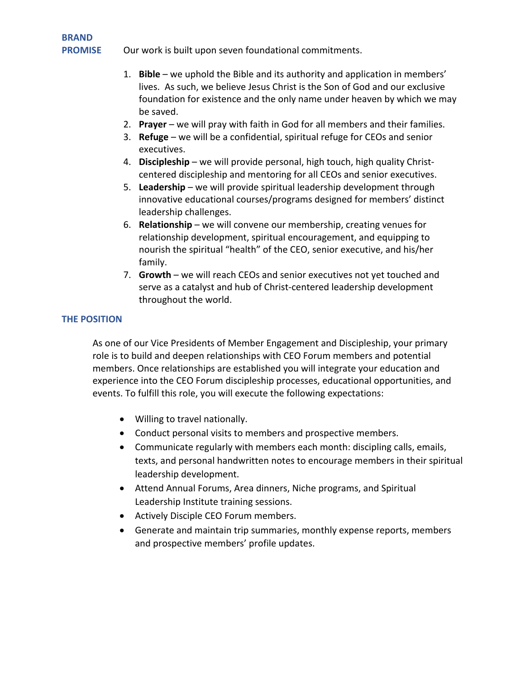**BRAND** 

**PROMISE** Our work is built upon seven foundational commitments.

- 1. **Bible** we uphold the Bible and its authority and application in members' lives. As such, we believe Jesus Christ is the Son of God and our exclusive foundation for existence and the only name under heaven by which we may be saved.
- 2. **Prayer** we will pray with faith in God for all members and their families.
- 3. **Refuge** we will be a confidential, spiritual refuge for CEOs and senior executives.
- 4. **Discipleship** we will provide personal, high touch, high quality Christcentered discipleship and mentoring for all CEOs and senior executives.
- 5. **Leadership** we will provide spiritual leadership development through innovative educational courses/programs designed for members' distinct leadership challenges.
- 6. **Relationship** we will convene our membership, creating venues for relationship development, spiritual encouragement, and equipping to nourish the spiritual "health" of the CEO, senior executive, and his/her family.
- 7. **Growth**  we will reach CEOs and senior executives not yet touched and serve as a catalyst and hub of Christ-centered leadership development throughout the world.

# **THE POSITION**

As one of our Vice Presidents of Member Engagement and Discipleship, your primary role is to build and deepen relationships with CEO Forum members and potential members. Once relationships are established you will integrate your education and experience into the CEO Forum discipleship processes, educational opportunities, and events. To fulfill this role, you will execute the following expectations:

- Willing to travel nationally.
- Conduct personal visits to members and prospective members.
- Communicate regularly with members each month: discipling calls, emails, texts, and personal handwritten notes to encourage members in their spiritual leadership development.
- Attend Annual Forums, Area dinners, Niche programs, and Spiritual Leadership Institute training sessions.
- Actively Disciple CEO Forum members.
- Generate and maintain trip summaries, monthly expense reports, members and prospective members' profile updates.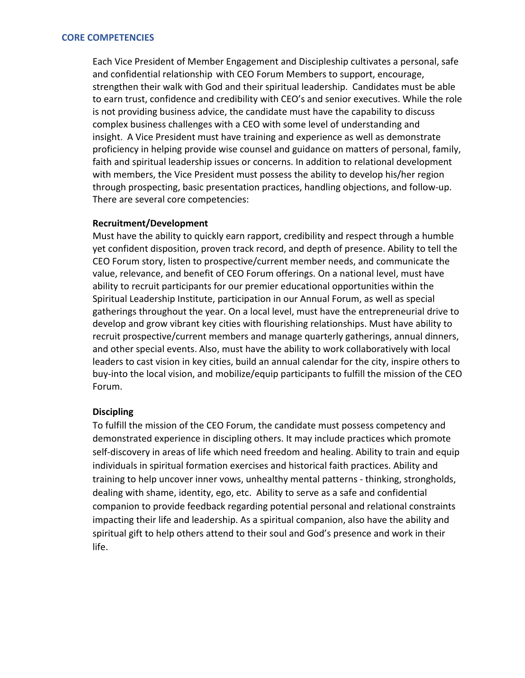Each Vice President of Member Engagement and Discipleship cultivates a personal, safe and confidential relationship with CEO Forum Members to support, encourage, strengthen their walk with God and their spiritual leadership. Candidates must be able to earn trust, confidence and credibility with CEO's and senior executives. While the role is not providing business advice, the candidate must have the capability to discuss complex business challenges with a CEO with some level of understanding and insight. A Vice President must have training and experience as well as demonstrate proficiency in helping provide wise counsel and guidance on matters of personal, family, faith and spiritual leadership issues or concerns. In addition to relational development with members, the Vice President must possess the ability to develop his/her region through prospecting, basic presentation practices, handling objections, and follow-up. There are several core competencies:

#### **Recruitment/Development**

Must have the ability to quickly earn rapport, credibility and respect through a humble yet confident disposition, proven track record, and depth of presence. Ability to tell the CEO Forum story, listen to prospective/current member needs, and communicate the value, relevance, and benefit of CEO Forum offerings. On a national level, must have ability to recruit participants for our premier educational opportunities within the Spiritual Leadership Institute, participation in our Annual Forum, as well as special gatherings throughout the year. On a local level, must have the entrepreneurial drive to develop and grow vibrant key cities with flourishing relationships. Must have ability to recruit prospective/current members and manage quarterly gatherings, annual dinners, and other special events. Also, must have the ability to work collaboratively with local leaders to cast vision in key cities, build an annual calendar for the city, inspire others to buy-into the local vision, and mobilize/equip participants to fulfill the mission of the CEO Forum.

### **Discipling**

To fulfill the mission of the CEO Forum, the candidate must possess competency and demonstrated experience in discipling others. It may include practices which promote self-discovery in areas of life which need freedom and healing. Ability to train and equip individuals in spiritual formation exercises and historical faith practices. Ability and training to help uncover inner vows, unhealthy mental patterns - thinking, strongholds, dealing with shame, identity, ego, etc. Ability to serve as a safe and confidential companion to provide feedback regarding potential personal and relational constraints impacting their life and leadership. As a spiritual companion, also have the ability and spiritual gift to help others attend to their soul and God's presence and work in their life.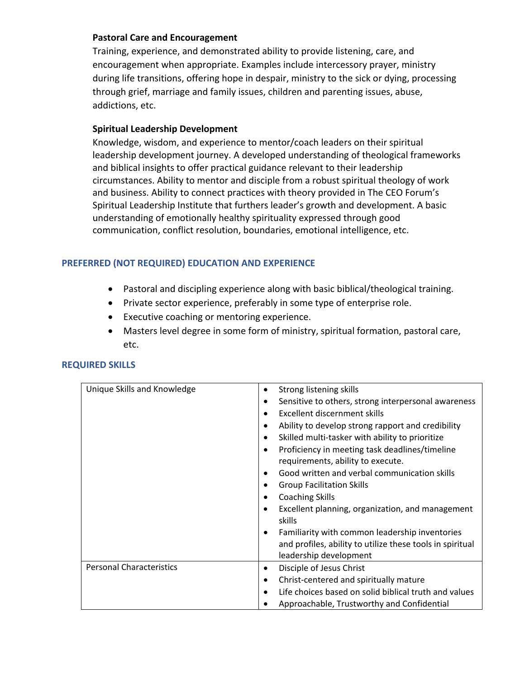## **Pastoral Care and Encouragement**

Training, experience, and demonstrated ability to provide listening, care, and encouragement when appropriate. Examples include intercessory prayer, ministry during life transitions, offering hope in despair, ministry to the sick or dying, processing through grief, marriage and family issues, children and parenting issues, abuse, addictions, etc.

### **Spiritual Leadership Development**

Knowledge, wisdom, and experience to mentor/coach leaders on their spiritual leadership development journey. A developed understanding of theological frameworks and biblical insights to offer practical guidance relevant to their leadership circumstances. Ability to mentor and disciple from a robust spiritual theology of work and business. Ability to connect practices with theory provided in The CEO Forum's Spiritual Leadership Institute that furthers leader's growth and development. A basic understanding of emotionally healthy spirituality expressed through good communication, conflict resolution, boundaries, emotional intelligence, etc.

# **PREFERRED (NOT REQUIRED) EDUCATION AND EXPERIENCE**

- Pastoral and discipling experience along with basic biblical/theological training.
- Private sector experience, preferably in some type of enterprise role.
- Executive coaching or mentoring experience.
- Masters level degree in some form of ministry, spiritual formation, pastoral care, etc.

| Unique Skills and Knowledge     | Strong listening skills<br>٠<br>Sensitive to others, strong interpersonal awareness<br>٠<br>Excellent discernment skills<br>$\bullet$<br>Ability to develop strong rapport and credibility<br>$\bullet$<br>Skilled multi-tasker with ability to prioritize<br>$\bullet$<br>Proficiency in meeting task deadlines/timeline<br>$\bullet$<br>requirements, ability to execute. |
|---------------------------------|-----------------------------------------------------------------------------------------------------------------------------------------------------------------------------------------------------------------------------------------------------------------------------------------------------------------------------------------------------------------------------|
|                                 | Good written and verbal communication skills<br>$\bullet$<br><b>Group Facilitation Skills</b><br>٠<br><b>Coaching Skills</b><br>$\bullet$<br>Excellent planning, organization, and management<br>$\bullet$<br>skills<br>Familiarity with common leadership inventories<br>$\bullet$<br>and profiles, ability to utilize these tools in spiritual<br>leadership development  |
| <b>Personal Characteristics</b> | Disciple of Jesus Christ<br>٠<br>Christ-centered and spiritually mature<br>٠<br>Life choices based on solid biblical truth and values<br>$\bullet$<br>Approachable, Trustworthy and Confidential                                                                                                                                                                            |

### **REQUIRED SKILLS**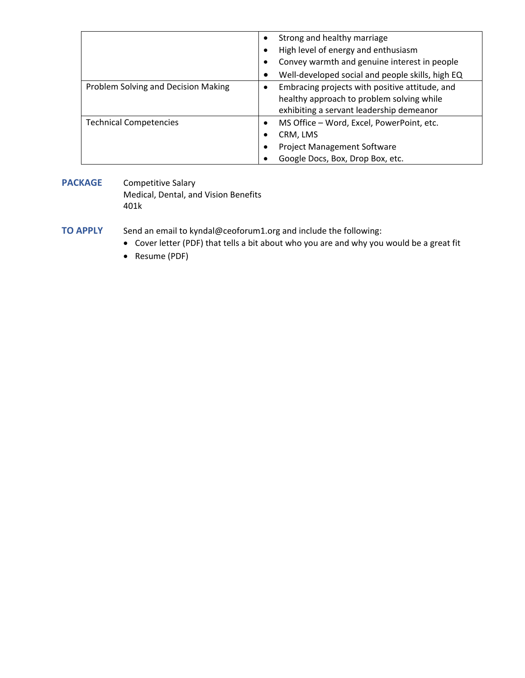|                                     | Strong and healthy marriage<br>High level of energy and enthusiasm<br>٠                     |
|-------------------------------------|---------------------------------------------------------------------------------------------|
|                                     | Convey warmth and genuine interest in people                                                |
|                                     |                                                                                             |
|                                     | Well-developed social and people skills, high EQ                                            |
| Problem Solving and Decision Making | Embracing projects with positive attitude, and<br>healthy approach to problem solving while |
|                                     | exhibiting a servant leadership demeanor                                                    |
| <b>Technical Competencies</b>       | MS Office - Word, Excel, PowerPoint, etc.<br>٠                                              |
|                                     | CRM, LMS                                                                                    |
|                                     | <b>Project Management Software</b><br>٠                                                     |
|                                     | Google Docs, Box, Drop Box, etc.                                                            |

#### **PACKAGE** Competitive Salary Medical, Dental, and Vision Benefits 401k

**TO APPLY** Send an email to kyndal@ceoforum1.org and include the following:

- Cover letter (PDF) that tells a bit about who you are and why you would be a great fit
- Resume (PDF)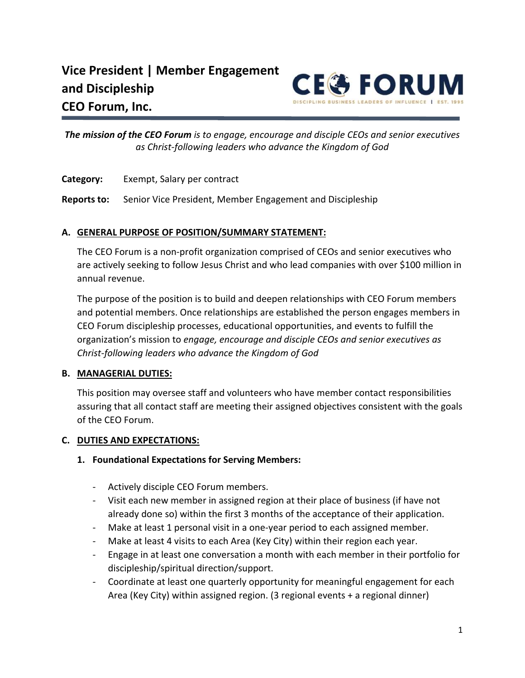

*The mission of the CEO Forum is to engage, encourage and disciple CEOs and senior executives as Christ‐following leaders who advance the Kingdom of God*

**Category:** Exempt, Salary per contract

**Reports to:** Senior Vice President, Member Engagement and Discipleship

## **A. GENERAL PURPOSE OF POSITION/SUMMARY STATEMENT:**

The CEO Forum is a non‐profit organization comprised of CEOs and senior executives who are actively seeking to follow Jesus Christ and who lead companies with over \$100 million in annual revenue.

The purpose of the position is to build and deepen relationships with CEO Forum members and potential members. Once relationships are established the person engages members in CEO Forum discipleship processes, educational opportunities, and events to fulfill the organization's mission to *engage, encourage and disciple CEOs and senior executives as Christ‐following leaders who advance the Kingdom of God*

# **B. MANAGERIAL DUTIES:**

This position may oversee staff and volunteers who have member contact responsibilities assuring that all contact staff are meeting their assigned objectives consistent with the goals of the CEO Forum.

# **C. DUTIES AND EXPECTATIONS:**

### **1. Foundational Expectations for Serving Members:**

- ‐ Actively disciple CEO Forum members.
- ‐ Visit each new member in assigned region at their place of business (if have not already done so) within the first 3 months of the acceptance of their application.
- Make at least 1 personal visit in a one-year period to each assigned member.
- Make at least 4 visits to each Area (Key City) within their region each year.
- ‐ Engage in at least one conversation a month with each member in their portfolio for discipleship/spiritual direction/support.
- ‐ Coordinate at least one quarterly opportunity for meaningful engagement for each Area (Key City) within assigned region. (3 regional events + a regional dinner)